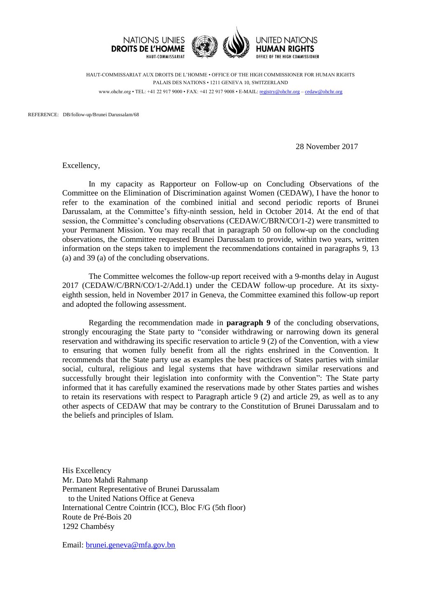

HAUT-COMMISSARIAT AUX DROITS DE L'HOMME • OFFICE OF THE HIGH COMMISSIONER FOR HUMAN RIGHTS PALAIS DES NATIONS • 1211 GENEVA 10, SWITZERLAND www.ohchr.org • TEL: +41 22 917 9000 • FAX: +41 22 917 9008 • E-MAIL: [registry@ohchr.org](mailto:registry@ohchr.org) – [cedaw@ohchr.org](mailto:cedaw@ohchr.org)

REFERENCE: DB/follow-up/Brunei Darussalam/68

28 November 2017

Excellency,

In my capacity as Rapporteur on Follow-up on Concluding Observations of the Committee on the Elimination of Discrimination against Women (CEDAW), I have the honor to refer to the examination of the combined initial and second periodic reports of Brunei Darussalam, at the Committee's fifty-ninth session, held in October 2014. At the end of that session, the Committee's concluding observations (CEDAW/C/BRN/CO/1-2) were transmitted to your Permanent Mission. You may recall that in paragraph 50 on follow-up on the concluding observations, the Committee requested Brunei Darussalam to provide, within two years, written information on the steps taken to implement the recommendations contained in paragraphs 9, 13 (a) and 39 (a) of the concluding observations.

The Committee welcomes the follow-up report received with a 9-months delay in August 2017 (CEDAW/C/BRN/CO/1-2/Add.1) under the CEDAW follow-up procedure. At its sixtyeighth session, held in November 2017 in Geneva, the Committee examined this follow-up report and adopted the following assessment.

Regarding the recommendation made in **paragraph 9** of the concluding observations, strongly encouraging the State party to "consider withdrawing or narrowing down its general reservation and withdrawing its specific reservation to article 9 (2) of the Convention, with a view to ensuring that women fully benefit from all the rights enshrined in the Convention. It recommends that the State party use as examples the best practices of States parties with similar social, cultural, religious and legal systems that have withdrawn similar reservations and successfully brought their legislation into conformity with the Convention": The State party informed that it has carefully examined the reservations made by other States parties and wishes to retain its reservations with respect to Paragraph article 9 (2) and article 29, as well as to any other aspects of CEDAW that may be contrary to the Constitution of Brunei Darussalam and to the beliefs and principles of Islam.

His Excellency Mr. Dato Mahdi Rahmanp Permanent Representative of Brunei Darussalam to the United Nations Office at Geneva International Centre Cointrin (ICC), Bloc F/G (5th floor) Route de Pré-Bois 20 1292 Chambésy

Email: [brunei.geneva@mfa.gov.bn](mailto:brunei.geneva@mfa.gov.bn)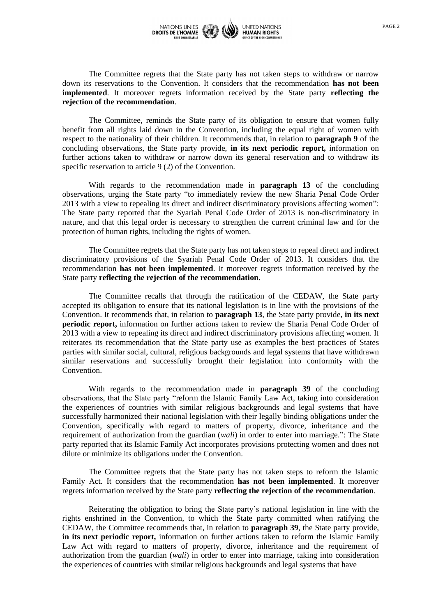

The Committee regrets that the State party has not taken steps to withdraw or narrow down its reservations to the Convention. It considers that the recommendation **has not been implemented**. It moreover regrets information received by the State party **reflecting the rejection of the recommendation**.

The Committee, reminds the State party of its obligation to ensure that women fully benefit from all rights laid down in the Convention, including the equal right of women with respect to the nationality of their children. It recommends that, in relation to **paragraph 9** of the concluding observations, the State party provide, **in its next periodic report,** information on further actions taken to withdraw or narrow down its general reservation and to withdraw its specific reservation to article 9 (2) of the Convention.

With regards to the recommendation made in **paragraph 13** of the concluding observations, urging the State party "to immediately review the new Sharia Penal Code Order 2013 with a view to repealing its direct and indirect discriminatory provisions affecting women": The State party reported that the Syariah Penal Code Order of 2013 is non-discriminatory in nature, and that this legal order is necessary to strengthen the current criminal law and for the protection of human rights, including the rights of women.

The Committee regrets that the State party has not taken steps to repeal direct and indirect discriminatory provisions of the Syariah Penal Code Order of 2013. It considers that the recommendation **has not been implemented**. It moreover regrets information received by the State party **reflecting the rejection of the recommendation**.

The Committee recalls that through the ratification of the CEDAW, the State party accepted its obligation to ensure that its national legislation is in line with the provisions of the Convention. It recommends that, in relation to **paragraph 13**, the State party provide, **in its next periodic report,** information on further actions taken to review the Sharia Penal Code Order of 2013 with a view to repealing its direct and indirect discriminatory provisions affecting women. It reiterates its recommendation that the State party use as examples the best practices of States parties with similar social, cultural, religious backgrounds and legal systems that have withdrawn similar reservations and successfully brought their legislation into conformity with the Convention.

With regards to the recommendation made in **paragraph 39** of the concluding observations, that the State party "reform the Islamic Family Law Act, taking into consideration the experiences of countries with similar religious backgrounds and legal systems that have successfully harmonized their national legislation with their legally binding obligations under the Convention, specifically with regard to matters of property, divorce, inheritance and the requirement of authorization from the guardian (*wali*) in order to enter into marriage.": The State party reported that its Islamic Family Act incorporates provisions protecting women and does not dilute or minimize its obligations under the Convention.

The Committee regrets that the State party has not taken steps to reform the Islamic Family Act. It considers that the recommendation **has not been implemented**. It moreover regrets information received by the State party **reflecting the rejection of the recommendation**.

Reiterating the obligation to bring the State party's national legislation in line with the rights enshrined in the Convention, to which the State party committed when ratifying the CEDAW, the Committee recommends that, in relation to **paragraph 39**, the State party provide, **in its next periodic report,** information on further actions taken to reform the Islamic Family Law Act with regard to matters of property, divorce, inheritance and the requirement of authorization from the guardian (*wali*) in order to enter into marriage, taking into consideration the experiences of countries with similar religious backgrounds and legal systems that have